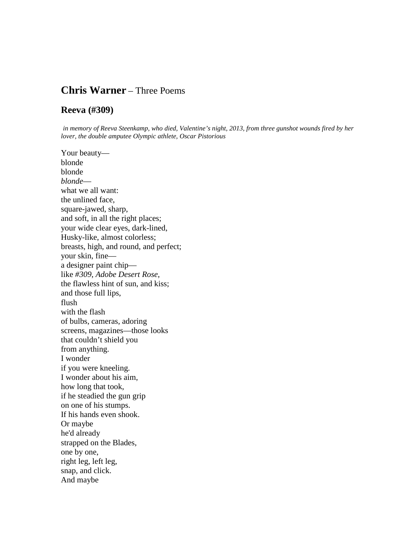# **Chris Warner** – Three Poems

#### **Reeva (#309)**

*in memory of Reeva Steenkamp, who died, Valentine's night, 2013, from three gunshot wounds fired by her lover, the double amputee Olympic athlete, Oscar Pistorious*

Your beauty blonde blonde *blonde* what we all want: the unlined face, square-jawed, sharp, and soft, in all the right places; your wide clear eyes, dark-lined, Husky-like, almost colorless; breasts, high, and round, and perfect; your skin, fine a designer paint chip like *#309*, *Adobe Desert Rose*, the flawless hint of sun, and kiss; and those full lips, flush with the flash of bulbs, cameras, adoring screens, magazines—those looks that couldn't shield you from anything. I wonder if you were kneeling. I wonder about his aim, how long that took, if he steadied the gun grip on one of his stumps. If his hands even shook. Or maybe he'd already strapped on the Blades, one by one, right leg, left leg, snap, and click. And maybe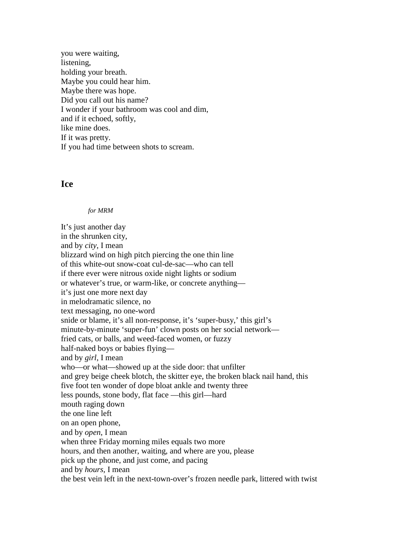you were waiting, listening, holding your breath. Maybe you could hear him. Maybe there was hope. Did you call out his name? I wonder if your bathroom was cool and dim, and if it echoed, softly, like mine does. If it was pretty. If you had time between shots to scream.

### **Ice**

#### *for MRM*

It's just another day in the shrunken city, and by *city*, I mean blizzard wind on high pitch piercing the one thin line of this white-out snow-coat cul-de-sac—who can tell if there ever were nitrous oxide night lights or sodium or whatever's true, or warm-like, or concrete anything it's just one more next day in melodramatic silence, no text messaging, no one-word snide or blame, it's all non-response, it's 'super-busy,' this girl's minute-by-minute 'super-fun' clown posts on her social network fried cats, or balls, and weed-faced women, or fuzzy half-naked boys or babies flying and by *girl*, I mean who—or what—showed up at the side door: that unfilter and grey beige cheek blotch, the skitter eye, the broken black nail hand, this five foot ten wonder of dope bloat ankle and twenty three less pounds, stone body, flat face —this girl—hard mouth raging down the one line left on an open phone, and by *open*, I mean when three Friday morning miles equals two more hours, and then another, waiting, and where are you, please pick up the phone, and just come, and pacing and by *hours,* I mean the best vein left in the next-town-over's frozen needle park, littered with twist